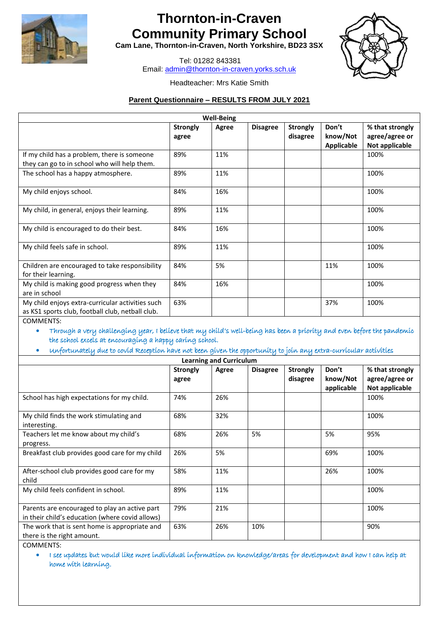

# **Thornton-in-Craven Community Primary School**

**Cam Lane, Thornton-in-Craven, North Yorkshire, BD23 3SX**

Tel: 01282 843381 Email: [admin@thornton-in-craven.yorks.sch.uk](mailto:admin@thornton-in-craven.yorks.sch.uk)



### Headteacher: Mrs Katie Smith

#### **Parent Questionnaire – RESULTS FROM JULY 2021**

| <b>Well-Being</b>                                                                                    |                          |       |                 |                             |                                        |                                                     |  |
|------------------------------------------------------------------------------------------------------|--------------------------|-------|-----------------|-----------------------------|----------------------------------------|-----------------------------------------------------|--|
|                                                                                                      | <b>Strongly</b><br>agree | Agree | <b>Disagree</b> | <b>Strongly</b><br>disagree | Don't<br>know/Not<br><b>Applicable</b> | % that strongly<br>agree/agree or<br>Not applicable |  |
| If my child has a problem, there is someone<br>they can go to in school who will help them.          | 89%                      | 11%   |                 |                             |                                        | 100%                                                |  |
| The school has a happy atmosphere.                                                                   | 89%                      | 11%   |                 |                             |                                        | 100%                                                |  |
| My child enjoys school.                                                                              | 84%                      | 16%   |                 |                             |                                        | 100%                                                |  |
| My child, in general, enjoys their learning.                                                         | 89%                      | 11%   |                 |                             |                                        | 100%                                                |  |
| My child is encouraged to do their best.                                                             | 84%                      | 16%   |                 |                             |                                        | 100%                                                |  |
| My child feels safe in school.                                                                       | 89%                      | 11%   |                 |                             |                                        | 100%                                                |  |
| Children are encouraged to take responsibility<br>for their learning.                                | 84%                      | 5%    |                 |                             | 11%                                    | 100%                                                |  |
| My child is making good progress when they<br>are in school                                          | 84%                      | 16%   |                 |                             |                                        | 100%                                                |  |
| My child enjoys extra-curricular activities such<br>as KS1 sports club, football club, netball club. | 63%                      |       |                 |                             | 37%                                    | 100%                                                |  |

COMMENTS:

• Through a very challenging year, I believe that my child's well-being has been a priority and even before the pandemic the school excels at encouraging a happy caring school.

• Unfortunately due to covid Reception have not been given the opportunity to join any extra-curricular activities

|                                                      | <b>Strongly</b> | Agree | <b>Disagree</b> | <b>Strongly</b> | Don't      | % that strongly |
|------------------------------------------------------|-----------------|-------|-----------------|-----------------|------------|-----------------|
|                                                      | agree           |       |                 | disagree        | know/Not   | agree/agree or  |
|                                                      |                 |       |                 |                 | applicable | Not applicable  |
| School has high expectations for my child.           | 74%             | 26%   |                 |                 |            | 100%            |
| My child finds the work stimulating and              | 68%             | 32%   |                 |                 |            | 100%            |
| interesting.                                         |                 |       |                 |                 |            |                 |
| Teachers let me know about my child's                | 68%             | 26%   | 5%              |                 | 5%         | 95%             |
| progress.                                            |                 |       |                 |                 |            |                 |
| Breakfast club provides good care for my child       | 26%             | 5%    |                 |                 | 69%        | 100%            |
| After-school club provides good care for my<br>child | 58%             | 11%   |                 |                 | 26%        | 100%            |
| My child feels confident in school.                  | 89%             | 11%   |                 |                 |            | 100%            |
| Parents are encouraged to play an active part        | 79%             | 21%   |                 |                 |            | 100%            |
| in their child's education (where covid allows)      |                 |       |                 |                 |            |                 |
| The work that is sent home is appropriate and        | 63%             | 26%   | 10%             |                 |            | 90%             |
| there is the right amount.                           |                 |       |                 |                 |            |                 |

COMMENTS:

• I see updates but would like more individual information on knowledge/areas for development and how I can help at home with learning.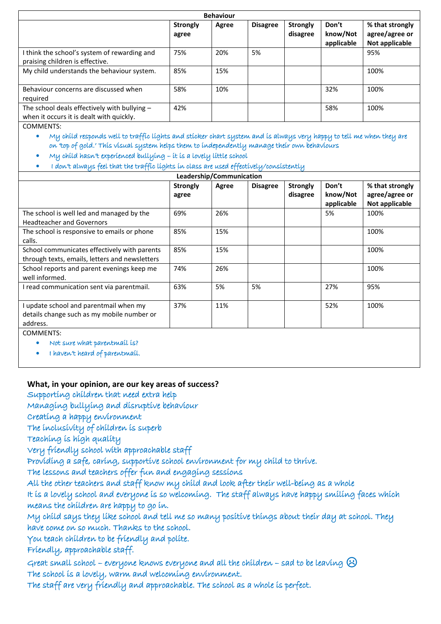| <b>Behaviour</b>                                                                           |                          |       |                 |                             |                                 |                                                     |  |
|--------------------------------------------------------------------------------------------|--------------------------|-------|-----------------|-----------------------------|---------------------------------|-----------------------------------------------------|--|
|                                                                                            | <b>Strongly</b><br>agree | Agree | <b>Disagree</b> | <b>Strongly</b><br>disagree | Don't<br>know/Not<br>applicable | % that strongly<br>agree/agree or<br>Not applicable |  |
| I think the school's system of rewarding and<br>praising children is effective.            | 75%                      | 20%   | 5%              |                             |                                 | 95%                                                 |  |
| My child understands the behaviour system.                                                 | 85%                      | 15%   |                 |                             |                                 | 100%                                                |  |
| Behaviour concerns are discussed when<br>required                                          | 58%                      | 10%   |                 |                             | 32%                             | 100%                                                |  |
| The school deals effectively with bullying $-$<br>when it occurs it is dealt with quickly. | 42%                      |       |                 |                             | 58%                             | 100%                                                |  |

COMMENTS:

• My child responds well to traffic lights and sticker chart system and is always very happy to tell me when they are on 'top of gold.' This visual system helps them to independently manage their own behaviours

- My child hasn't experienced bullying it is a lovely little school
- I don't always feel that the traffic lights in class are used effectively/consistently

| Leadership/Communication                                                                         |                          |       |                 |                             |                                 |                                                     |  |
|--------------------------------------------------------------------------------------------------|--------------------------|-------|-----------------|-----------------------------|---------------------------------|-----------------------------------------------------|--|
|                                                                                                  | <b>Strongly</b><br>agree | Agree | <b>Disagree</b> | <b>Strongly</b><br>disagree | Don't<br>know/Not<br>applicable | % that strongly<br>agree/agree or<br>Not applicable |  |
| The school is well led and managed by the<br><b>Headteacher and Governors</b>                    | 69%                      | 26%   |                 |                             | 5%                              | 100%                                                |  |
| The school is responsive to emails or phone<br>calls.                                            | 85%                      | 15%   |                 |                             |                                 | 100%                                                |  |
| School communicates effectively with parents<br>through texts, emails, letters and newsletters   | 85%                      | 15%   |                 |                             |                                 | 100%                                                |  |
| School reports and parent evenings keep me<br>well informed.                                     | 74%                      | 26%   |                 |                             |                                 | 100%                                                |  |
| I read communication sent via parentmail.                                                        | 63%                      | 5%    | 5%              |                             | 27%                             | 95%                                                 |  |
| I update school and parentmail when my<br>details change such as my mobile number or<br>address. | 37%                      | 11%   |                 |                             | 52%                             | 100%                                                |  |
| <b>COMMENTS:</b>                                                                                 |                          |       |                 |                             |                                 |                                                     |  |

• Not sure what parentmail is?

• I haven't heard of parentmail.

## **What, in your opinion, are our key areas of success?**

Supporting children that need extra help

Managing bullying and disruptive behaviour

Creating a happy environment

The inclusivity of children is superb

Teaching is high quality

Very friendly school with approachable staff

Providing a safe, caring, supportive school environment for my child to thrive.

The lessons and teachers offer fun and engaging sessions

All the other teachers and staff know my child and look after their well-being as a whole

It is a lovely school and everyone is so welcoming. The staff always have happy smiling faces which means the children are happy to go in.

My child says they like school and tell me so many positive things about their day at school. They have come on so much. Thanks to the school.

You teach children to be friendly and polite.

Friendly, approachable staff.

Great small school – everyone knows everyone and all the children – sad to be leaving  $\odot$ The school is a lovely, warm and welcoming environment.

The staff are very friendly and approachable. The school as a whole is perfect.